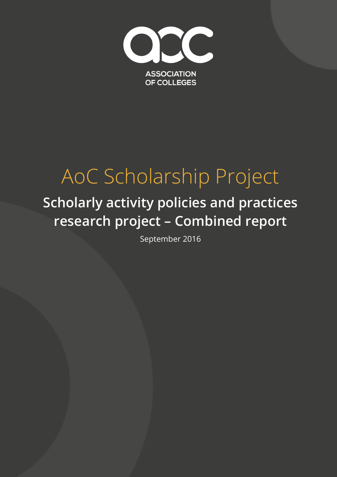

# AoC Scholarship Project

# **Scholarly activity policies and practices research project – Combined report**

September 2016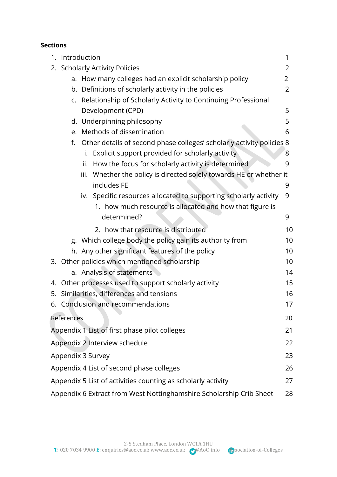#### **Sections**

|                                                                    | 1. Introduction                                                       | 1              |
|--------------------------------------------------------------------|-----------------------------------------------------------------------|----------------|
|                                                                    | 2. Scholarly Activity Policies                                        | 2              |
|                                                                    | a. How many colleges had an explicit scholarship policy               | $\overline{2}$ |
|                                                                    | b. Definitions of scholarly activity in the policies                  | $\overline{2}$ |
|                                                                    | c. Relationship of Scholarly Activity to Continuing Professional      |                |
|                                                                    | Development (CPD)                                                     | 5              |
|                                                                    | d. Underpinning philosophy                                            | 5              |
|                                                                    | e. Methods of dissemination                                           | 6              |
| f.                                                                 | Other details of second phase colleges' scholarly activity policies 8 |                |
|                                                                    | Explicit support provided for scholarly activity<br>i.                | 8              |
|                                                                    | How the focus for scholarly activity is determined<br>ii.             | 9              |
|                                                                    | iii. Whether the policy is directed solely towards HE or whether it   |                |
|                                                                    | includes FE                                                           | 9              |
|                                                                    | iv. Specific resources allocated to supporting scholarly activity     | 9              |
|                                                                    | 1. how much resource is allocated and how that figure is              |                |
|                                                                    | determined?                                                           | 9              |
|                                                                    | 2. how that resource is distributed                                   | 10             |
|                                                                    | g. Which college body the policy gain its authority from              | 10             |
|                                                                    | h. Any other significant features of the policy                       | 10             |
|                                                                    | 3. Other policies which mentioned scholarship                         | 10             |
|                                                                    | a. Analysis of statements                                             | 14             |
|                                                                    | 4. Other processes used to support scholarly activity                 | 15             |
|                                                                    | 5. Similarities, differences and tensions                             | 16             |
|                                                                    | 6. Conclusion and recommendations                                     | 17             |
| References                                                         |                                                                       | 20             |
|                                                                    | Appendix 1 List of first phase pilot colleges                         | 21             |
|                                                                    | Appendix 2 Interview schedule                                         | 22             |
|                                                                    | Appendix 3 Survey                                                     | 23             |
| Appendix 4 List of second phase colleges<br>26                     |                                                                       |                |
| Appendix 5 List of activities counting as scholarly activity<br>27 |                                                                       |                |
|                                                                    | Appendix 6 Extract from West Nottinghamshire Scholarship Crib Sheet   | 28             |

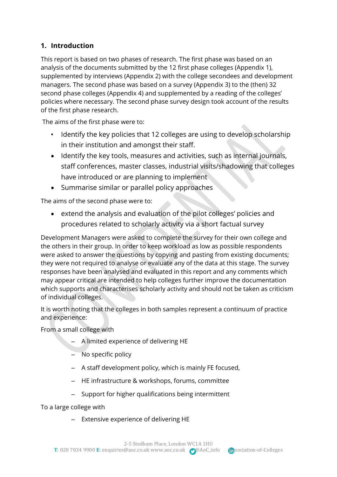# **1. Introduction**

This report is based on two phases of research. The first phase was based on an analysis of the documents submitted by the 12 first phase colleges (Appendix 1), supplemented by interviews (Appendix 2) with the college secondees and development managers. The second phase was based on a survey (Appendix 3) to the (then) 32 second phase colleges (Appendix 4) and supplemented by a reading of the colleges' policies where necessary. The second phase survey design took account of the results of the first phase research.

The aims of the first phase were to:

- Identify the key policies that 12 colleges are using to develop scholarship in their institution and amongst their staff.
- Identify the key tools, measures and activities, such as internal journals, staff conferences, master classes, industrial visits/shadowing that colleges have introduced or are planning to implement
- Summarise similar or parallel policy approaches

The aims of the second phase were to:

 extend the analysis and evaluation of the pilot colleges' policies and procedures related to scholarly activity via a short factual survey

Development Managers were asked to complete the survey for their own college and the others in their group. In order to keep workload as low as possible respondents were asked to answer the questions by copying and pasting from existing documents; they were not required to analyse or evaluate any of the data at this stage. The survey responses have been analysed and evaluated in this report and any comments which may appear critical are intended to help colleges further improve the documentation which supports and characterises scholarly activity and should not be taken as criticism of individual colleges.

It is worth noting that the colleges in both samples represent a continuum of practice and experience:

From a small college with

- A limited experience of delivering HE
- No specific policy
- A staff development policy, which is mainly FE focused,
- HE infrastructure & workshops, forums, committee
- Support for higher qualifications being intermittent

To a large college with

– Extensive experience of delivering HE

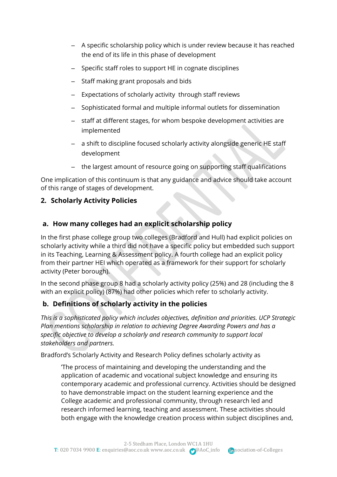- A specific scholarship policy which is under review because it has reached the end of its life in this phase of development
- Specific staff roles to support HE in cognate disciplines
- Staff making grant proposals and bids
- Expectations of scholarly activity through staff reviews
- Sophisticated formal and multiple informal outlets for dissemination
- staff at different stages, for whom bespoke development activities are implemented
- a shift to discipline focused scholarly activity alongside generic HE staff development
- the largest amount of resource going on supporting staff qualifications

One implication of this continuum is that any guidance and advice should take account of this range of stages of development.

# **2. Scholarly Activity Policies**

# **a. How many colleges had an explicit scholarship policy**

In the first phase college group two colleges (Bradford and Hull) had explicit policies on scholarly activity while a third did not have a specific policy but embedded such support in its Teaching, Learning & Assessment policy. A fourth college had an explicit policy from their partner HEI which operated as a framework for their support for scholarly activity (Peter borough).

In the second phase group 8 had a scholarly activity policy (25%) and 28 (including the 8 with an explicit policy) (87%) had other policies which refer to scholarly activity.

# **b. Definitions of scholarly activity in the policies**

*This is a sophisticated policy which includes objectives, definition and priorities. UCP Strategic Plan mentions scholarship in relation to achieving Degree Awarding Powers and has a specific objective to develop a scholarly and research community to support local stakeholders and partners.* 

Bradford's Scholarly Activity and Research Policy defines scholarly activity as

'The process of maintaining and developing the understanding and the application of academic and vocational subject knowledge and ensuring its contemporary academic and professional currency. Activities should be designed to have demonstrable impact on the student learning experience and the College academic and professional community, through research led and research informed learning, teaching and assessment. These activities should both engage with the knowledge creation process within subject disciplines and,

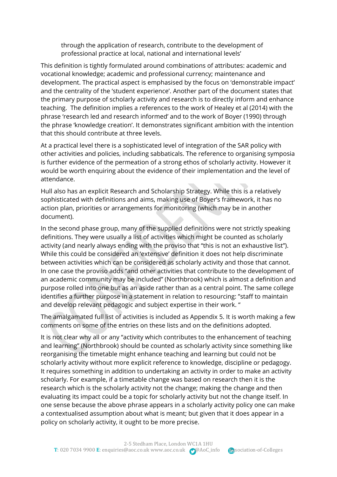through the application of research, contribute to the development of professional practice at local, national and international levels'

This definition is tightly formulated around combinations of attributes: academic and vocational knowledge; academic and professional currency; maintenance and development. The practical aspect is emphasised by the focus on 'demonstrable impact' and the centrality of the 'student experience'. Another part of the document states that the primary purpose of scholarly activity and research is to directly inform and enhance teaching. The definition implies a references to the work of Healey et al (2014) with the phrase 'research led and research informed' and to the work of Boyer (1990) through the phrase 'knowledge creation'. It demonstrates significant ambition with the intention that this should contribute at three levels.

At a practical level there is a sophisticated level of integration of the SAR policy with other activities and policies, including sabbaticals. The reference to organising symposia is further evidence of the permeation of a strong ethos of scholarly activity. However it would be worth enquiring about the evidence of their implementation and the level of attendance.

Hull also has an explicit Research and Scholarship Strategy. While this is a relatively sophisticated with definitions and aims, making use of Boyer's framework, it has no action plan, priorities or arrangements for monitoring (which may be in another document).

In the second phase group, many of the supplied definitions were not strictly speaking definitions. They were usually a list of activities which might be counted as scholarly activity (and nearly always ending with the proviso that "this is not an exhaustive list"). While this could be considered an 'extensive' definition it does not help discriminate between activities which can be considered as scholarly activity and those that cannot. In one case the proviso adds "and other activities that contribute to the development of an academic community may be included" (Northbrook) which is almost a definition and purpose rolled into one but as an aside rather than as a central point. The same college identifies a further purpose in a statement in relation to resourcing: "staff to maintain and develop relevant pedagogic and subject expertise in their work. "

The amalgamated full list of activities is included as Appendix 5. It is worth making a few comments on some of the entries on these lists and on the definitions adopted.

It is not clear why all or any "activity which contributes to the enhancement of teaching and learning" (Northbrook) should be counted as scholarly activity since something like reorganising the timetable might enhance teaching and learning but could not be scholarly activity without more explicit reference to knowledge, discipline or pedagogy. It requires something in addition to undertaking an activity in order to make an activity scholarly. For example, if a timetable change was based on research then it is the research which is the scholarly activity not the change; making the change and then evaluating its impact could be a topic for scholarly activity but not the change itself. In one sense because the above phrase appears in a scholarly activity policy one can make a contextualised assumption about what is meant; but given that it does appear in a policy on scholarly activity, it ought to be more precise.

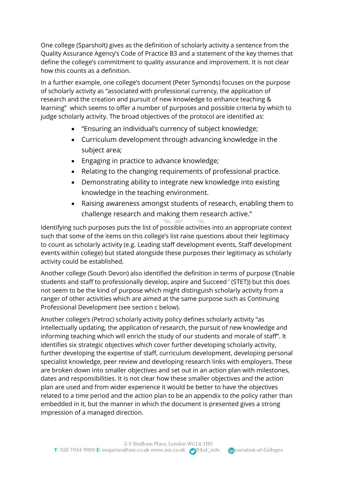One college (Sparsholt) gives as the definition of scholarly activity a sentence from the Quality Assurance Agency's Code of Practice B3 and a statement of the key themes that define the college's commitment to quality assurance and improvement. It is not clear how this counts as a definition.

In a further example, one college's document (Peter Symonds) focuses on the purpose of scholarly activity as "associated with professional currency, the application of research and the creation and pursuit of new knowledge to enhance teaching & learning" which seems to offer a number of purposes and possible criteria by which to judge scholarly activity. The broad objectives of the protocol are identified as:

- "Ensuring an individual's currency of subject knowledge;
- Curriculum development through advancing knowledge in the subject area;
- Engaging in practice to advance knowledge;
- Relating to the changing requirements of professional practice.
- Demonstrating ability to integrate new knowledge into existing knowledge in the teaching environment.
- Raising awareness amongst students of research, enabling them to challenge research and making them research active."

Identifying such purposes puts the list of possible activities into an appropriate context such that some of the items on this college's list raise questions about their legitimacy to count as scholarly activity (e.g. Leading staff development events, Staff development events within college) but stated alongside these purposes their legitimacy as scholarly activity could be established.

Another college (South Devon) also identified the definition in terms of purpose ('Enable students and staff to professionally develop, aspire and Succeed ' (STET)) but this does not seem to be the kind of purpose which might distinguish scholarly activity from a ranger of other activities which are aimed at the same purpose such as Continuing Professional Development (see section c below).

Another college's (Petroc) scholarly activity policy defines scholarly activity "as intellectually updating, the application of research, the pursuit of new knowledge and informing teaching which will enrich the study of our students and morale of staff". It identifies six strategic objectives which cover further developing scholarly activity, further developing the expertise of staff, curriculum development, developing personal specialist knowledge, peer review and developing research links with employers. These are broken down into smaller objectives and set out in an action plan with milestones, dates and responsibilities. It is not clear how these smaller objectives and the action plan are used and from wider experience it would be better to have the objectives related to a time period and the action plan to be an appendix to the policy rather than embedded in it, but the manner in which the document is presented gives a strong impression of a managed direction.

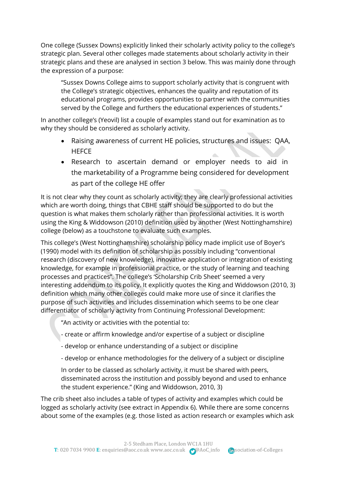One college (Sussex Downs) explicitly linked their scholarly activity policy to the college's strategic plan. Several other colleges made statements about scholarly activity in their strategic plans and these are analysed in section 3 below. This was mainly done through the expression of a purpose:

"Sussex Downs College aims to support scholarly activity that is congruent with the College's strategic objectives, enhances the quality and reputation of its educational programs, provides opportunities to partner with the communities served by the College and furthers the educational experiences of students."

In another college's (Yeovil) list a couple of examples stand out for examination as to why they should be considered as scholarly activity.

- Raising awareness of current HE policies, structures and issues: QAA, **HEFCE**
- Research to ascertain demand or employer needs to aid in the marketability of a Programme being considered for development as part of the college HE offer

It is not clear why they count as scholarly activity; they are clearly professional activities which are worth doing, things that CBHE staff should be supported to do but the question is what makes them scholarly rather than professional activities. It is worth using the King & Widdowson (2010) definition used by another (West Nottinghamshire) college (below) as a touchstone to evaluate such examples.

This college's (West Nottinghamshire) scholarship policy made implicit use of Boyer's (1990) model with its definition of scholarship as possibly including "conventional research (discovery of new knowledge), innovative application or integration of existing knowledge, for example in professional practice, or the study of learning and teaching processes and practices". The college's 'Scholarship Crib Sheet' seemed a very interesting addendum to its policy. It explicitly quotes the King and Widdowson (2010, 3) definition which many other colleges could make more use of since it clarifies the purpose of such activities and includes dissemination which seems to be one clear differentiator of scholarly activity from Continuing Professional Development:

"An activity or activities with the potential to:

- create or affirm knowledge and/or expertise of a subject or discipline
- develop or enhance understanding of a subject or discipline
- develop or enhance methodologies for the delivery of a subject or discipline

In order to be classed as scholarly activity, it must be shared with peers, disseminated across the institution and possibly beyond and used to enhance the student experience." (King and Widdowson, 2010, 3)

The crib sheet also includes a table of types of activity and examples which could be logged as scholarly activity (see extract in Appendix 6). While there are some concerns about some of the examples (e.g. those listed as action research or examples which ask

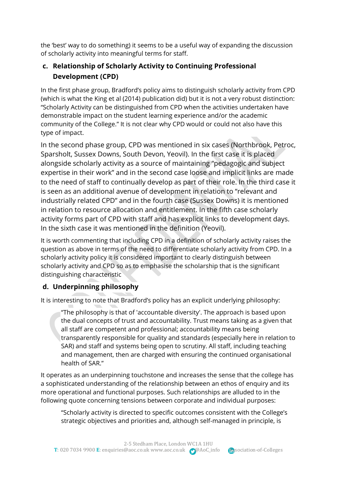the 'best' way to do something) it seems to be a useful way of expanding the discussion of scholarly activity into meaningful terms for staff.

# **c. Relationship of Scholarly Activity to Continuing Professional Development (CPD)**

In the first phase group, Bradford's policy aims to distinguish scholarly activity from CPD (which is what the King et al (2014) publication did) but it is not a very robust distinction: "Scholarly Activity can be distinguished from CPD when the activities undertaken have demonstrable impact on the student learning experience and/or the academic community of the College." It is not clear why CPD would or could not also have this type of impact.

In the second phase group, CPD was mentioned in six cases (Northbrook, Petroc, Sparsholt, Sussex Downs, South Devon, Yeovil). In the first case it is placed alongside scholarly activity as a source of maintaining "pedagogic and subject expertise in their work" and in the second case loose and implicit links are made to the need of staff to continually develop as part of their role. In the third case it is seen as an additional avenue of development in relation to "relevant and industrially related CPD" and in the fourth case (Sussex Downs) it is mentioned in relation to resource allocation and entitlement. In the fifth case scholarly activity forms part of CPD with staff and has explicit links to development days. In the sixth case it was mentioned in the definition (Yeovil).

It is worth commenting that including CPD in a definition of scholarly activity raises the question as above in terms of the need to differentiate scholarly activity from CPD. In a scholarly activity policy it is considered important to clearly distinguish between scholarly activity and CPD so as to emphasise the scholarship that is the significant distinguishing characteristic

# **d. Underpinning philosophy**

It is interesting to note that Bradford's policy has an explicit underlying philosophy:

"The philosophy is that of 'accountable diversity'. The approach is based upon the dual concepts of trust and accountability. Trust means taking as a given that all staff are competent and professional; accountability means being transparently responsible for quality and standards (especially here in relation to SAR) and staff and systems being open to scrutiny. All staff, including teaching and management, then are charged with ensuring the continued organisational health of SAR."

It operates as an underpinning touchstone and increases the sense that the college has a sophisticated understanding of the relationship between an ethos of enquiry and its more operational and functional purposes. Such relationships are alluded to in the following quote concerning tensions between corporate and individual purposes:

"Scholarly activity is directed to specific outcomes consistent with the College's strategic objectives and priorities and, although self-managed in principle, is

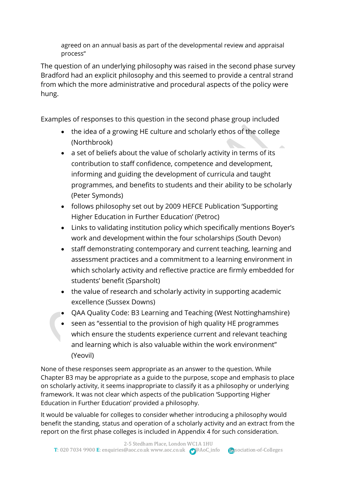agreed on an annual basis as part of the developmental review and appraisal process"

The question of an underlying philosophy was raised in the second phase survey Bradford had an explicit philosophy and this seemed to provide a central strand from which the more administrative and procedural aspects of the policy were hung.

Examples of responses to this question in the second phase group included

- the idea of a growing HE culture and scholarly ethos of the college (Northbrook)
- a set of beliefs about the value of scholarly activity in terms of its contribution to staff confidence, competence and development, informing and guiding the development of curricula and taught programmes, and benefits to students and their ability to be scholarly (Peter Symonds)
- follows philosophy set out by 2009 HEFCE Publication 'Supporting Higher Education in Further Education' (Petroc)
- Links to validating institution policy which specifically mentions Boyer's work and development within the four scholarships (South Devon)
- staff demonstrating contemporary and current teaching, learning and assessment practices and a commitment to a learning environment in which scholarly activity and reflective practice are firmly embedded for students' benefit (Sparsholt)
- the value of research and scholarly activity in supporting academic excellence (Sussex Downs)
- QAA Quality Code: B3 Learning and Teaching (West Nottinghamshire)
- seen as "essential to the provision of high quality HE programmes which ensure the students experience current and relevant teaching and learning which is also valuable within the work environment" (Yeovil)

None of these responses seem appropriate as an answer to the question. While Chapter B3 may be appropriate as a guide to the purpose, scope and emphasis to place on scholarly activity, it seems inappropriate to classify it as a philosophy or underlying framework. It was not clear which aspects of the publication 'Supporting Higher Education in Further Education' provided a philosophy.

It would be valuable for colleges to consider whether introducing a philosophy would benefit the standing, status and operation of a scholarly activity and an extract from the report on the first phase colleges is included in Appendix 4 for such consideration.

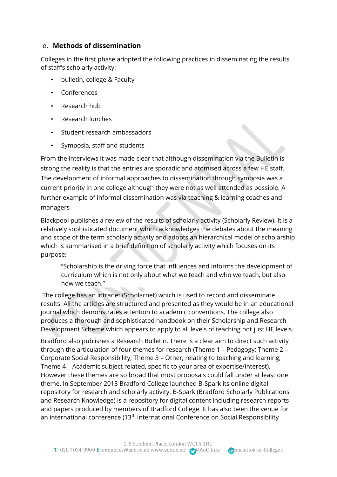#### e. **Methods of dissemination**

Colleges in the first phase adopted the following practices in disseminating the results of staff's scholarly activity:

- bulletin, college & Faculty
- Conferences
- Research hub
- Research lunches
- Student research ambassadors
- Symposia, staff and students

From the interviews it was made clear that although dissemination via the Bulletin is strong the reality is that the entries are sporadic and atomised across a few HE staff. The development of informal approaches to dissemination through symposia was a current priority in one college although they were not as well attended as possible. A further example of informal dissemination was via teaching & learning coaches and managers

Blackpool publishes a review of the results of scholarly activity (Scholarly Review). It is a relatively sophisticated document which acknowledges the debates about the meaning and scope of the term scholarly activity and adopts an hierarchical model of scholarship which is summarised in a brief definition of scholarly activity which focuses on its purpose:

"Scholarship is the driving force that influences and informs the development of curriculum which is not only about what we teach and who we teach, but also how we teach"

The college has an intranet (Scholarnet) which is used to record and disseminate results. All the articles are structured and presented as they would be in an educational journal which demonstrates attention to academic conventions. The college also produces a thorough and sophisticated handbook on their Scholarship and Research Development Scheme which appears to apply to all levels of teaching not just HE levels.

Bradford also publishes a Research Bulletin. There is a clear aim to direct such activity through the articulation of four themes for research (Theme 1 – Pedagogy; Theme 2 – Corporate Social Responsibility; Theme 3 – Other, relating to teaching and learning; Theme 4 – Academic subject related, specific to your area of expertise/interest). However these themes are so broad that most proposals could fall under at least one theme. In September 2013 Bradford College launched B-Spark its online digital repository for research and scholarly activity. B-Spark (Bradford Scholarly Publications and Research Knowledge) is a repository for digital content including research reports and papers produced by members of Bradford College. It has also been the venue for an international conference  $(13<sup>th</sup>$  International Conference on Social Responsibility

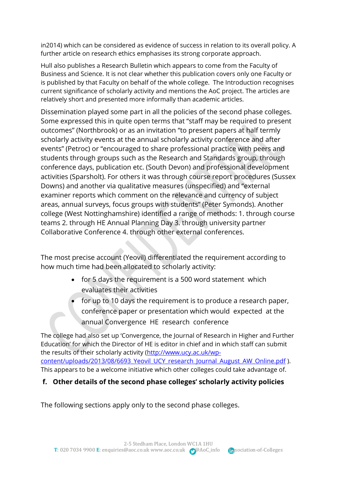in2014) which can be considered as evidence of success in relation to its overall policy. A further article on research ethics emphasises its strong corporate approach.

Hull also publishes a Research Bulletin which appears to come from the Faculty of Business and Science. It is not clear whether this publication covers only one Faculty or is published by that Faculty on behalf of the whole college. The Introduction recognises current significance of scholarly activity and mentions the AoC project. The articles are relatively short and presented more informally than academic articles.

Dissemination played some part in all the policies of the second phase colleges. Some expressed this in quite open terms that "staff may be required to present outcomes" (Northbrook) or as an invitation "to present papers at half termly scholarly activity events at the annual scholarly activity conference and after events" (Petroc) or "encouraged to share professional practice with peers and students through groups such as the Research and Standards group, through conference days, publication etc. (South Devon) and professional development activities (Sparsholt). For others it was through course report procedures (Sussex Downs) and another via qualitative measures (unspecified) and "external examiner reports which comment on the relevance and currency of subject areas, annual surveys, focus groups with students" (Peter Symonds). Another college (West Nottinghamshire) identified a range of methods: 1. through course teams 2. through HE Annual Planning Day 3. through university partner Collaborative Conference 4. through other external conferences.

The most precise account (Yeovil) differentiated the requirement according to how much time had been allocated to scholarly activity:

- for 5 days the requirement is a 500 word statement which evaluates their activities
- for up to 10 days the requirement is to produce a research paper, conference paper or presentation which would expected at the annual Convergence HE research conference

The college had also set up 'Convergence, the Journal of Research in Higher and Further Education' for which the Director of HE is editor in chief and in which staff can submit the results of their scholarly activity [\(http://www.ucy.ac.uk/wp](http://www.ucy.ac.uk/wp-content/uploads/2013/08/6693_Yeovil_UCY_research_Journal_August_AW_Online.pdf)[content/uploads/2013/08/6693\\_Yeovil\\_UCY\\_research\\_Journal\\_August\\_AW\\_Online.pdf](http://www.ucy.ac.uk/wp-content/uploads/2013/08/6693_Yeovil_UCY_research_Journal_August_AW_Online.pdf) ). This appears to be a welcome initiative which other colleges could take advantage of.

# **f. Other details of the second phase colleges' scholarly activity policies**

The following sections apply only to the second phase colleges.

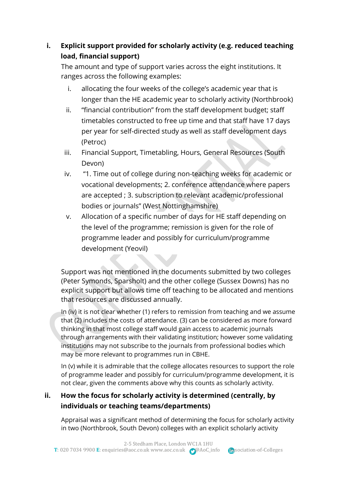# **i. Explicit support provided for scholarly activity (e.g. reduced teaching load, financial support)**

The amount and type of support varies across the eight institutions. It ranges across the following examples:

- i. allocating the four weeks of the college's academic year that is longer than the HE academic year to scholarly activity (Northbrook)
- ii. "financial contribution" from the staff development budget; staff timetables constructed to free up time and that staff have 17 days per year for self-directed study as well as staff development days (Petroc)
- iii. Financial Support, Timetabling, Hours, General Resources (South Devon)
- iv. "1. Time out of college during non-teaching weeks for academic or vocational developments; 2. conference attendance where papers are accepted ; 3. subscription to relevant academic/professional bodies or journals" (West Nottinghamshire)
- v. Allocation of a specific number of days for HE staff depending on the level of the programme; remission is given for the role of programme leader and possibly for curriculum/programme development (Yeovil)

Support was not mentioned in the documents submitted by two colleges (Peter Symonds, Sparsholt) and the other college (Sussex Downs) has no explicit support but allows time off teaching to be allocated and mentions that resources are discussed annually.

In (iv) it is not clear whether (1) refers to remission from teaching and we assume that (2) includes the costs of attendance. (3) can be considered as more forward thinking in that most college staff would gain access to academic journals through arrangements with their validating institution; however some validating institutions may not subscribe to the journals from professional bodies which may be more relevant to programmes run in CBHE.

In (v) while it is admirable that the college allocates resources to support the role of programme leader and possibly for curriculum/programme development, it is not clear, given the comments above why this counts as scholarly activity.

# **ii. How the focus for scholarly activity is determined (centrally, by individuals or teaching teams/departments)**

Appraisal was a significant method of determining the focus for scholarly activity in two (Northbrook, South Devon) colleges with an explicit scholarly activity

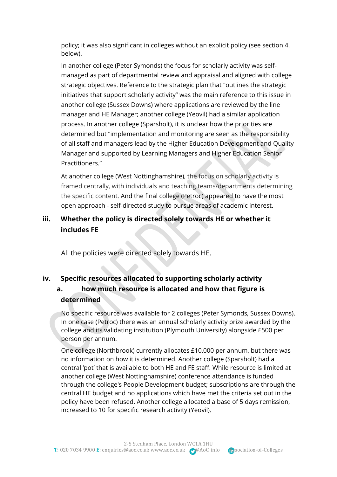policy; it was also significant in colleges without an explicit policy (see section 4. below).

In another college (Peter Symonds) the focus for scholarly activity was selfmanaged as part of departmental review and appraisal and aligned with college strategic objectives. Reference to the strategic plan that "outlines the strategic initiatives that support scholarly activity" was the main reference to this issue in another college (Sussex Downs) where applications are reviewed by the line manager and HE Manager; another college (Yeovil) had a similar application process. In another college (Sparsholt), it is unclear how the priorities are determined but "implementation and monitoring are seen as the responsibility of all staff and managers lead by the Higher Education Development and Quality Manager and supported by Learning Managers and Higher Education Senior Practitioners."

At another college (West Nottinghamshire), the focus on scholarly activity is framed centrally, with individuals and teaching teams/departments determining the specific content. And the final college (Petroc) appeared to have the most open approach - self-directed study to pursue areas of academic interest.

# **iii. Whether the policy is directed solely towards HE or whether it includes FE**

All the policies were directed solely towards HE.

# **iv. Specific resources allocated to supporting scholarly activity a. how much resource is allocated and how that figure is determined**

No specific resource was available for 2 colleges (Peter Symonds, Sussex Downs). In one case (Petroc) there was an annual scholarly activity prize awarded by the college and its validating institution (Plymouth University) alongside £500 per person per annum.

One college (Northbrook) currently allocates £10,000 per annum, but there was no information on how it is determined. Another college (Sparsholt) had a central 'pot' that is available to both HE and FE staff. While resource is limited at another college (West Nottinghamshire) conference attendance is funded through the college's People Development budget; subscriptions are through the central HE budget and no applications which have met the criteria set out in the policy have been refused. Another college allocated a base of 5 days remission, increased to 10 for specific research activity (Yeovil).

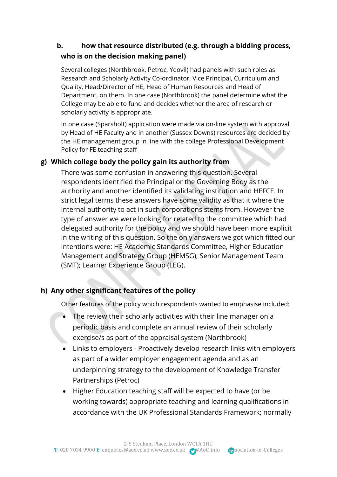# **b. how that resource distributed (e.g. through a bidding process, who is on the decision making panel)**

Several colleges (Northbrook, Petroc, Yeovil) had panels with such roles as Research and Scholarly Activity Co-ordinator, Vice Principal, Curriculum and Quality, Head/Director of HE, Head of Human Resources and Head of Department, on them. In one case (Northbrook) the panel determine what the College may be able to fund and decides whether the area of research or scholarly activity is appropriate.

In one case (Sparsholt) application were made via on-line system with approval by Head of HE Faculty and in another (Sussex Downs) resources are decided by the HE management group in line with the college Professional Development Policy for FE teaching staff

# **g) Which college body the policy gain its authority from**

There was some confusion in answering this question. Several respondents identified the Principal or the Governing Body as the authority and another identified its validating institution and HEFCE. In strict legal terms these answers have some validity as that it where the internal authority to act in such corporations stems from. However the type of answer we were looking for related to the committee which had delegated authority for the policy and we should have been more explicit in the writing of this question. So the only answers we got which fitted our intentions were: HE Academic Standards Committee, Higher Education Management and Strategy Group (HEMSG); Senior Management Team (SMT); Learner Experience Group (LEG).

# **h) Any other significant features of the policy**

Other features of the policy which respondents wanted to emphasise included:

- The review their scholarly activities with their line manager on a periodic basis and complete an annual review of their scholarly exercise/s as part of the appraisal system (Northbrook)
- Links to employers Proactively develop research links with employers as part of a wider employer engagement agenda and as an underpinning strategy to the development of Knowledge Transfer Partnerships (Petroc)
- Higher Education teaching staff will be expected to have (or be working towards) appropriate teaching and learning qualifications in accordance with the UK Professional Standards Framework; normally

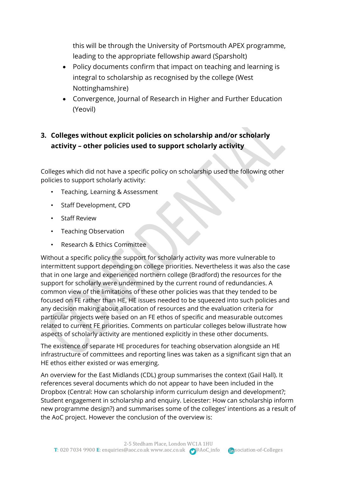this will be through the University of Portsmouth APEX programme, leading to the appropriate fellowship award (Sparsholt)

- Policy documents confirm that impact on teaching and learning is integral to scholarship as recognised by the college (West Nottinghamshire)
- Convergence, Journal of Research in Higher and Further Education (Yeovil)

# **3. Colleges without explicit policies on scholarship and/or scholarly activity – other policies used to support scholarly activity**

Colleges which did not have a specific policy on scholarship used the following other policies to support scholarly activity:

- Teaching, Learning & Assessment
- Staff Development, CPD
- Staff Review
- Teaching Observation
- Research & Ethics Committee

Without a specific policy the support for scholarly activity was more vulnerable to intermittent support depending on college priorities. Nevertheless it was also the case that in one large and experienced northern college (Bradford) the resources for the support for scholarly were undermined by the current round of redundancies. A common view of the limitations of these other policies was that they tended to be focused on FE rather than HE, HE issues needed to be squeezed into such policies and any decision making about allocation of resources and the evaluation criteria for particular projects were based on an FE ethos of specific and measurable outcomes related to current FE priorities. Comments on particular colleges below illustrate how aspects of scholarly activity are mentioned explicitly in these other documents.

The existence of separate HE procedures for teaching observation alongside an HE infrastructure of committees and reporting lines was taken as a significant sign that an HE ethos either existed or was emerging.

An overview for the East Midlands (CDL) group summarises the context (Gail Hall). It references several documents which do not appear to have been included in the Dropbox (Central: How can scholarship inform curriculum design and development?; Student engagement in scholarship and enquiry. Leicester: How can scholarship inform new programme design?) and summarises some of the colleges' intentions as a result of the AoC project. However the conclusion of the overview is:

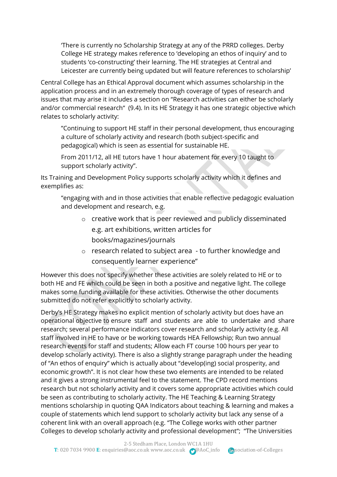'There is currently no Scholarship Strategy at any of the PRRD colleges. Derby College HE strategy makes reference to 'developing an ethos of inquiry' and to students 'co-constructing' their learning. The HE strategies at Central and Leicester are currently being updated but will feature references to scholarship'

Central College has an Ethical Approval document which assumes scholarship in the application process and in an extremely thorough coverage of types of research and issues that may arise it includes a section on "Research activities can either be scholarly and/or commercial research" (9.4). In its HE Strategy it has one strategic objective which relates to scholarly activity:

"Continuing to support HE staff in their personal development, thus encouraging a culture of scholarly activity and research (both subject-specific and pedagogical) which is seen as essential for sustainable HE.

From 2011/12, all HE tutors have 1 hour abatement for every 10 taught to support scholarly activity".

Its Training and Development Policy supports scholarly activity which it defines and exemplifies as:

"engaging with and in those activities that enable reflective pedagogic evaluation and development and research, e.g.

- o creative work that is peer reviewed and publicly disseminated e.g. art exhibitions, written articles for books/magazines/journals
- o research related to subject area to further knowledge and consequently learner experience"

However this does not specify whether these activities are solely related to HE or to both HE and FE which could be seen in both a positive and negative light. The college makes some funding available for these activities. Otherwise the other documents submitted do not refer explicitly to scholarly activity.

Derby's HE Strategy makes no explicit mention of scholarly activity but does have an operational objective to ensure staff and students are able to undertake and share research; several performance indicators cover research and scholarly activity (e.g. All staff involved in HE to have or be working towards HEA Fellowship; Run two annual research events for staff and students; Allow each FT course 100 hours per year to develop scholarly activity). There is also a slightly strange paragraph under the heading of "An ethos of enquiry" which is actually about "develop(ing) social prosperity, and economic growth". It is not clear how these two elements are intended to be related and it gives a strong instrumental feel to the statement. The CPD record mentions research but not scholarly activity and it covers some appropriate activities which could be seen as contributing to scholarly activity. The HE Teaching & Learning Strategy mentions scholarship in quoting QAA Indicators about teaching & learning and makes a couple of statements which lend support to scholarly activity but lack any sense of a coherent link with an overall approach (e.g. "The College works with other partner Colleges to develop scholarly activity and professional development"; "The Universities

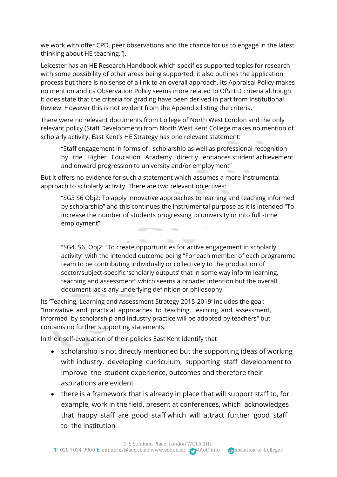we work with offer CPD, peer observations and the chance for us to engage in the latest thinking about HE teaching.").

Leicester has an HE Research Handbook which specifies supported topics for research with some possibility of other areas being supported; it also outlines the application process but there is no sense of a link to an overall approach. Its Appraisal Policy makes no mention and its Observation Policy seems more related to OfSTED criteria although it does state that the criteria for grading have been derived in part from Institutional Review. However this is not evident from the Appendix listing the criteria.

There were no relevant documents from College of North West London and the only relevant policy (Staff Development) from North West Kent College makes no mention of scholarly activity. East Kent's HE Strategy has one relevant statement:

"Staff engagement in forms of scholarship as well as professional recognition by the Higher Education Academy directly enhances student achievement and onward progression to university and/or employment"

But it offers no evidence for such a statement which assumes a more instrumental approach to scholarly activity. There are two relevant objectives:

"SG3 S6 Obj2: To apply innovative approaches to learning and teaching informed by scholarship" and this continues the instrumental purpose as it is intended "To increase the number of students progressing to university or into full -time employment"

 $\sim$ 

"SG4. S6. Obj2: "To create opportunities for active engagement in scholarly activity" with the intended outcome being "For each member of each programme team to be contributing individually or collectively to the production of sector/subject-specific 'scholarly outputs' that in some way inform learning, teaching and assessment" which seems a broader intention but the overall document lacks any underlying definition or philosophy.

Its 'Teaching, Learning and Assessment Strategy 2015-2019' includes the goal: "Innovative and practical approaches to teaching, learning and assessment, informed by scholarship and industry practice will be adopted by teachers" but contains no further supporting statements.

 $\sim$ 

In their self-evaluation of their policies East Kent identify that

- scholarship is not directly mentioned but the supporting ideas of working with industry, developing curriculum, supporting staff development to improve the student experience, outcomes and therefore their aspirations are evident
- there is a framework that is already in place that will support staff to, for example, work in the field, present at conferences, which acknowledges that happy staff are good staff which will attract further good staff to the institution

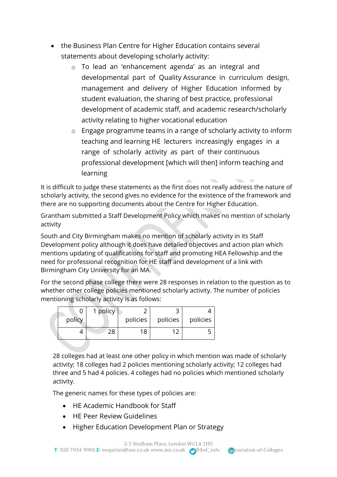- the Business Plan Centre for Higher Education contains several statements about developing scholarly activity:
	- o To lead an 'enhancement agenda' as an integral and developmental part of Quality Assurance in curriculum design, management and delivery of Higher Education informed by student evaluation, the sharing of best practice, professional development of academic staff, and academic research/scholarly activity relating to higher vocational education
	- o Engage programme teams in a range of scholarly activity to inform teaching and learning HE lecturers increasingly engages in a range of scholarly activity as part of their continuous professional development [which will then] inform teaching and learning

It is difficult to judge these statements as the first does not really address the nature of scholarly activity, the second gives no evidence for the existence of the framework and there are no supporting documents about the Centre for Higher Education.

Grantham submitted a Staff Development Policy which makes no mention of scholarly activity

South and City Birmingham makes no mention of scholarly activity in its Staff Development policy although it does have detailed objectives and action plan which mentions updating of qualifications for staff and promoting HEA Fellowship and the need for professional recognition for HE staff and development of a link with Birmingham City University for an MA.

For the second phase college there were 28 responses in relation to the question as to whether other college policies mentioned scholarly activity. The number of policies mentioning scholarly activity is as follows:

|        | 1 policy |          |          |          |
|--------|----------|----------|----------|----------|
| policy |          | policies | policies | policies |
|        |          | 18       |          |          |

28 colleges had at least one other policy in which mention was made of scholarly activity; 18 colleges had 2 policies mentioning scholarly activity; 12 colleges had three and 5 had 4 policies. 4 colleges had no policies which mentioned scholarly activity.

The generic names for these types of policies are:

- HE Academic Handbook for Staff
- HE Peer Review Guidelines
- Higher Education Development Plan or Strategy

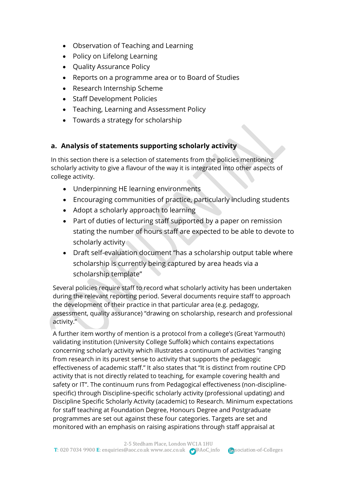- Observation of Teaching and Learning
- Policy on Lifelong Learning
- Quality Assurance Policy
- Reports on a programme area or to Board of Studies
- Research Internship Scheme
- Staff Development Policies
- Teaching, Learning and Assessment Policy
- Towards a strategy for scholarship

# **a. Analysis of statements supporting scholarly activity**

In this section there is a selection of statements from the policies mentioning scholarly activity to give a flavour of the way it is integrated into other aspects of college activity.

- Underpinning HE learning environments
- Encouraging communities of practice, particularly including students
- Adopt a scholarly approach to learning
- Part of duties of lecturing staff supported by a paper on remission stating the number of hours staff are expected to be able to devote to scholarly activity
- Draft self-evaluation document "has a scholarship output table where scholarship is currently being captured by area heads via a scholarship template"

Several policies require staff to record what scholarly activity has been undertaken during the relevant reporting period. Several documents require staff to approach the development of their practice in that particular area (e.g. pedagogy, assessment, quality assurance) "drawing on scholarship, research and professional activity."

A further item worthy of mention is a protocol from a college's (Great Yarmouth) validating institution (University College Suffolk) which contains expectations concerning scholarly activity which illustrates a continuum of activities "ranging from research in its purest sense to activity that supports the pedagogic effectiveness of academic staff." It also states that "It is distinct from routine CPD activity that is not directly related to teaching, for example covering health and safety or IT". The continuum runs from Pedagogical effectiveness (non-disciplinespecific) through Discipline-specific scholarly activity (professional updating) and Discipline Specific Scholarly Activity (academic) to Research. Minimum expectations for staff teaching at Foundation Degree, Honours Degree and Postgraduate programmes are set out against these four categories. Targets are set and monitored with an emphasis on raising aspirations through staff appraisal at

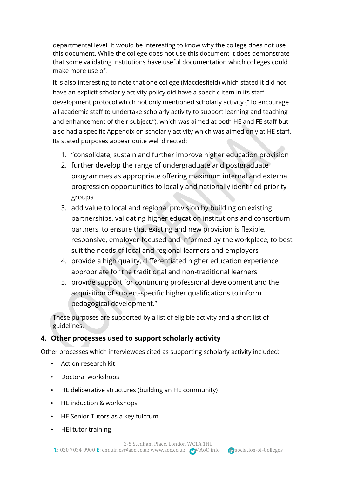departmental level. It would be interesting to know why the college does not use this document. While the college does not use this document it does demonstrate that some validating institutions have useful documentation which colleges could make more use of.

It is also interesting to note that one college (Macclesfield) which stated it did not have an explicit scholarly activity policy did have a specific item in its staff development protocol which not only mentioned scholarly activity ("To encourage all academic staff to undertake scholarly activity to support learning and teaching and enhancement of their subject."), which was aimed at both HE and FE staff but also had a specific Appendix on scholarly activity which was aimed only at HE staff. Its stated purposes appear quite well directed:

- 1. "consolidate, sustain and further improve higher education provision
- 2. further develop the range of undergraduate and postgraduate programmes as appropriate offering maximum internal and external progression opportunities to locally and nationally identified priority groups
- 3. add value to local and regional provision by building on existing partnerships, validating higher education institutions and consortium partners, to ensure that existing and new provision is flexible, responsive, employer-focused and informed by the workplace, to best suit the needs of local and regional learners and employers
- 4. provide a high quality, differentiated higher education experience appropriate for the traditional and non-traditional learners
- 5. provide support for continuing professional development and the acquisition of subject-specific higher qualifications to inform pedagogical development."

These purposes are supported by a list of eligible activity and a short list of guidelines.

# **4. Other processes used to support scholarly activity**

Other processes which interviewees cited as supporting scholarly activity included:

- Action research kit
- Doctoral workshops
- HE deliberative structures (building an HE community)
- HE induction & workshops
- HE Senior Tutors as a key fulcrum
- HEI tutor training

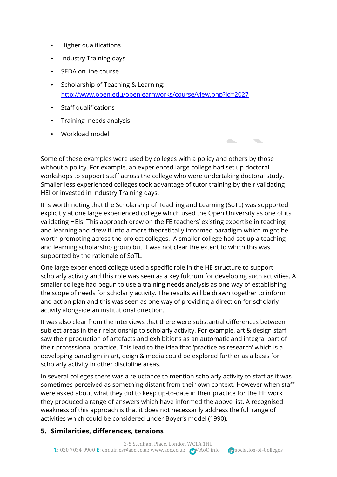- Higher qualifications
- Industry Training days
- SEDA on line course
- Scholarship of Teaching & Learning: <http://www.open.edu/openlearnworks/course/view.php?id=2027>
- Staff qualifications
- Training needs analysis
- Workload model

Some of these examples were used by colleges with a policy and others by those without a policy. For example, an experienced large college had set up doctoral workshops to support staff across the college who were undertaking doctoral study. Smaller less experienced colleges took advantage of tutor training by their validating HEI or invested in Industry Training days.

It is worth noting that the Scholarship of Teaching and Learning (SoTL) was supported explicitly at one large experienced college which used the Open University as one of its validating HEIs. This approach drew on the FE teachers' existing expertise in teaching and learning and drew it into a more theoretically informed paradigm which might be worth promoting across the project colleges. A smaller college had set up a teaching and learning scholarship group but it was not clear the extent to which this was supported by the rationale of SoTL.

One large experienced college used a specific role in the HE structure to support scholarly activity and this role was seen as a key fulcrum for developing such activities. A smaller college had begun to use a training needs analysis as one way of establishing the scope of needs for scholarly activity. The results will be drawn together to inform and action plan and this was seen as one way of providing a direction for scholarly activity alongside an institutional direction.

It was also clear from the interviews that there were substantial differences between subject areas in their relationship to scholarly activity. For example, art & design staff saw their production of artefacts and exhibitions as an automatic and integral part of their professional practice. This lead to the idea that 'practice as research' which is a developing paradigm in art, deign & media could be explored further as a basis for scholarly activity in other discipline areas.

In several colleges there was a reluctance to mention scholarly activity to staff as it was sometimes perceived as something distant from their own context. However when staff were asked about what they did to keep up-to-date in their practice for the HE work they produced a range of answers which have informed the above list. A recognised weakness of this approach is that it does not necessarily address the full range of activities which could be considered under Boyer's model (1990).

# **5. Similarities, differences, tensions**

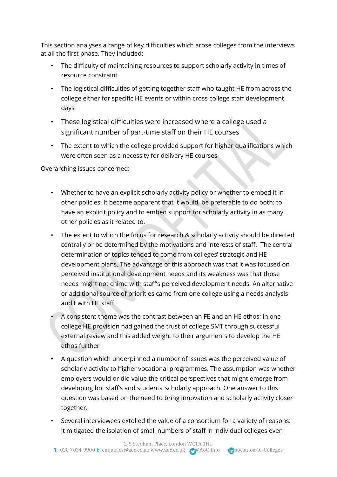This section analyses a range of key difficulties which arose colleges from the interviews at all the first phase. They included:

- The difficulty of maintaining resources to support scholarly activity in times of resource constraint
- The logistical difficulties of getting together staff who taught HE from across the college either for specific HE events or within cross college staff development days
- These logistical difficulties were increased where a college used a significant number of part-time staff on their HE courses
- The extent to which the college provided support for higher qualifications which were often seen as a necessity for delivery HE courses

Overarching issues concerned:

- Whether to have an explicit scholarly activity policy or whether to embed it in other policies. It became apparent that it would, be preferable to do both: to have an explicit policy and to embed support for scholarly activity in as many other policies as it related to.
- The extent to which the focus for research & scholarly activity should be directed centrally or be determined by the motivations and interests of staff. The central determination of topics tended to come from colleges' strategic and HE development plans. The advantage of this approach was that it was focused on perceived institutional development needs and its weakness was that those needs might not chime with staff's perceived development needs. An alternative or additional source of priorities came from one college using a needs analysis audit with HE staff.
- A consistent theme was the contrast between an FE and an HE ethos; in one college HE provision had gained the trust of college SMT through successful external review and this added weight to their arguments to develop the HE ethos further
- A question which underpinned a number of issues was the perceived value of scholarly activity to higher vocational programmes. The assumption was whether employers would or did value the critical perspectives that might emerge from developing bot staff's and students' scholarly approach. One answer to this question was based on the need to bring innovation and scholarly activity closer together.
- Several interviewees extolled the value of a consortium for a variety of reasons: it mitigated the isolation of small numbers of staff in individual colleges even

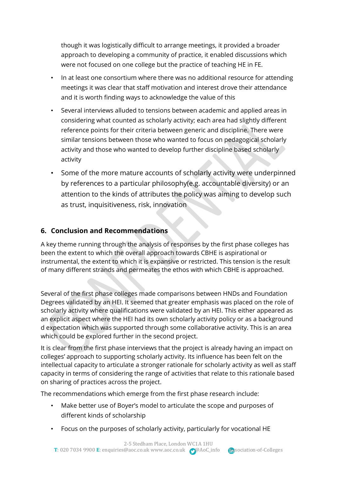though it was logistically difficult to arrange meetings, it provided a broader approach to developing a community of practice, it enabled discussions which were not focused on one college but the practice of teaching HE in FE.

- In at least one consortium where there was no additional resource for attending meetings it was clear that staff motivation and interest drove their attendance and it is worth finding ways to acknowledge the value of this
- Several interviews alluded to tensions between academic and applied areas in considering what counted as scholarly activity; each area had slightly different reference points for their criteria between generic and discipline. There were similar tensions between those who wanted to focus on pedagogical scholarly activity and those who wanted to develop further discipline based scholarly activity
- Some of the more mature accounts of scholarly activity were underpinned by references to a particular philosophy(e.g. accountable diversity) or an attention to the kinds of attributes the policy was aiming to develop such as trust, inquisitiveness, risk, innovation

# **6. Conclusion and Recommendations**

A key theme running through the analysis of responses by the first phase colleges has been the extent to which the overall approach towards CBHE is aspirational or instrumental, the extent to which it is expansive or restricted. This tension is the result of many different strands and permeates the ethos with which CBHE is approached.

Several of the first phase colleges made comparisons between HNDs and Foundation Degrees validated by an HEI. It seemed that greater emphasis was placed on the role of scholarly activity where qualifications were validated by an HEI. This either appeared as an explicit aspect where the HEI had its own scholarly activity policy or as a background d expectation which was supported through some collaborative activity. This is an area which could be explored further in the second project.

It is clear from the first phase interviews that the project is already having an impact on colleges' approach to supporting scholarly activity. Its influence has been felt on the intellectual capacity to articulate a stronger rationale for scholarly activity as well as staff capacity in terms of considering the range of activities that relate to this rationale based on sharing of practices across the project.

The recommendations which emerge from the first phase research include:

- Make better use of Boyer's model to articulate the scope and purposes of different kinds of scholarship
- Focus on the purposes of scholarly activity, particularly for vocational HE

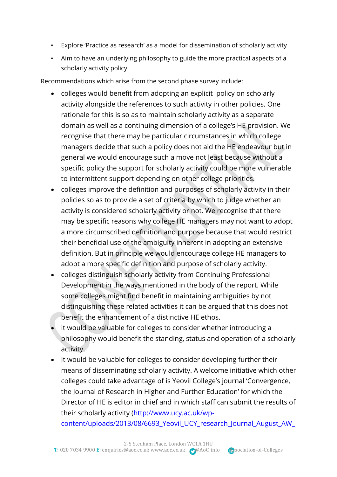- Explore 'Practice as research' as a model for dissemination of scholarly activity
- Aim to have an underlying philosophy to guide the more practical aspects of a scholarly activity policy

Recommendations which arise from the second phase survey include:

- colleges would benefit from adopting an explicit policy on scholarly activity alongside the references to such activity in other policies. One rationale for this is so as to maintain scholarly activity as a separate domain as well as a continuing dimension of a college's HE provision. We recognise that there may be particular circumstances in which college managers decide that such a policy does not aid the HE endeavour but in general we would encourage such a move not least because without a specific policy the support for scholarly activity could be more vulnerable to intermittent support depending on other college priorities.
- colleges improve the definition and purposes of scholarly activity in their policies so as to provide a set of criteria by which to judge whether an activity is considered scholarly activity or not. We recognise that there may be specific reasons why college HE managers may not want to adopt a more circumscribed definition and purpose because that would restrict their beneficial use of the ambiguity inherent in adopting an extensive definition. But in principle we would encourage college HE managers to adopt a more specific definition and purpose of scholarly activity.
- colleges distinguish scholarly activity from Continuing Professional Development in the ways mentioned in the body of the report. While some colleges might find benefit in maintaining ambiguities by not distinguishing these related activities it can be argued that this does not benefit the enhancement of a distinctive HE ethos.
- it would be valuable for colleges to consider whether introducing a philosophy would benefit the standing, status and operation of a scholarly activity.
- It would be valuable for colleges to consider developing further their means of disseminating scholarly activity. A welcome initiative which other colleges could take advantage of is Yeovil College's journal 'Convergence, the Journal of Research in Higher and Further Education' for which the Director of HE is editor in chief and in which staff can submit the results of their scholarly activity [\(http://www.ucy.ac.uk/wp-](http://www.ucy.ac.uk/wp-content/uploads/2013/08/6693_Yeovil_UCY_research_Journal_August_AW_Online.pdf)

content/uploads/2013/08/6693 Yeovil UCY research Journal August AW

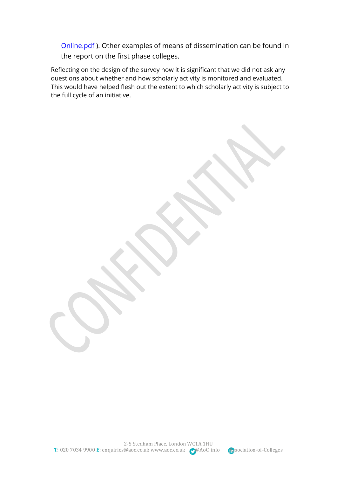[Online.pdf](http://www.ucy.ac.uk/wp-content/uploads/2013/08/6693_Yeovil_UCY_research_Journal_August_AW_Online.pdf) ). Other examples of means of dissemination can be found in the report on the first phase colleges.

Reflecting on the design of the survey now it is significant that we did not ask any questions about whether and how scholarly activity is monitored and evaluated. This would have helped flesh out the extent to which scholarly activity is subject to the full cycle of an initiative.

2-5 Stedham Place, London WC1A 1HU T: 020 7034 9900 **E**[: enquiries@aoc.co.uk](mailto:enquiries@aoc.co.uk) [www.aoc.co.uk](http://www.aoc.co.uk/) @@AoC\_info **Association-of-Colleges** 

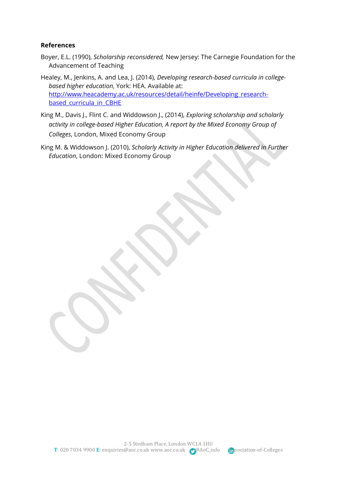#### **References**

- Boyer, E.L. (1990), *Scholarship reconsidered,* New Jersey: The Carnegie Foundation for the Advancement of Teaching
- Healey, M., Jenkins, A. and Lea, J. (2014), *Developing research-based curricula in collegebased higher education*, York: HEA. Available at: [http://www.heacademy.ac.uk/resources/detail/heinfe/Developing\\_research](http://www.heacademy.ac.uk/resources/detail/heinfe/Developing_research-based_curricula_in_CBHE)based curricula in CBHE
- King M., Davis J., Flint C. and Widdowson J., (2014), *Exploring scholarship and scholarly activity in college-based Higher Education, A report by the Mixed Economy Group of Colleges*, London, Mixed Economy Group
- King M. & Widdowson J. (2010), *Scholarly Activity in Higher Education delivered in Further Education*, London: Mixed Economy Group

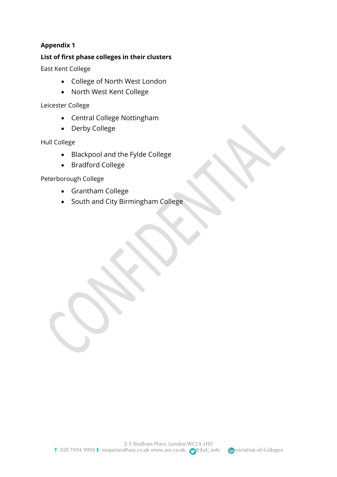#### **List of first phase colleges in their clusters**

East Kent College

- College of North West London
- North West Kent College

Leicester College

- Central College Nottingham
- Derby College

Hull College

- Blackpool and the Fylde College
- Bradford College

Peterborough College

- Grantham College
- South and City Birmingham College

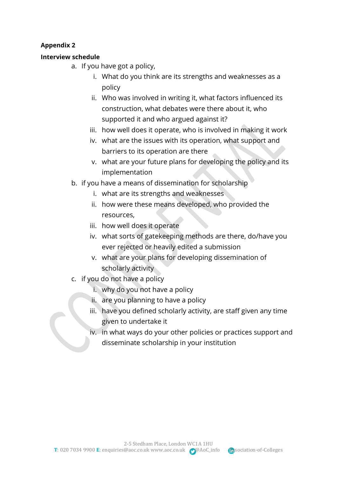#### **Interview schedule**

- a. If you have got a policy,
	- i. What do you think are its strengths and weaknesses as a policy
	- ii. Who was involved in writing it, what factors influenced its construction, what debates were there about it, who supported it and who argued against it?
	- iii. how well does it operate, who is involved in making it work
	- iv. what are the issues with its operation, what support and barriers to its operation are there
	- v. what are your future plans for developing the policy and its implementation
- b. if you have a means of dissemination for scholarship
	- i. what are its strengths and weaknesses
	- ii. how were these means developed, who provided the resources,
	- iii. how well does it operate
	- iv. what sorts of gatekeeping methods are there, do/have you ever rejected or heavily edited a submission
	- v. what are your plans for developing dissemination of scholarly activity
- c. if you do not have a policy
	- i. why do you not have a policy
	- ii. are you planning to have a policy
	- iii. have you defined scholarly activity, are staff given any time given to undertake it
	- iv. in what ways do your other policies or practices support and disseminate scholarship in your institution

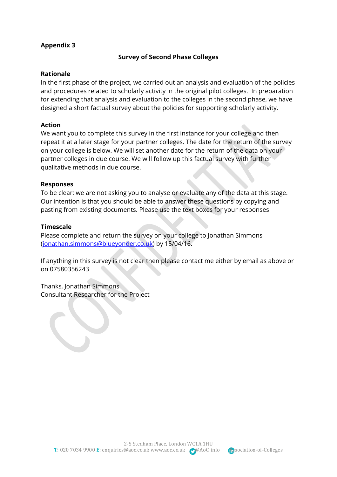#### **Survey of Second Phase Colleges**

#### **Rationale**

In the first phase of the project, we carried out an analysis and evaluation of the policies and procedures related to scholarly activity in the original pilot colleges. In preparation for extending that analysis and evaluation to the colleges in the second phase, we have designed a short factual survey about the policies for supporting scholarly activity.

#### **Action**

We want you to complete this survey in the first instance for your college and then repeat it at a later stage for your partner colleges. The date for the return of the survey on your college is below. We will set another date for the return of the data on your partner colleges in due course. We will follow up this factual survey with further qualitative methods in due course.

#### **Responses**

To be clear: we are not asking you to analyse or evaluate any of the data at this stage. Our intention is that you should be able to answer these questions by copying and pasting from existing documents. Please use the text boxes for your responses

#### **Timescale**

Please complete and return the survey on your college to Jonathan Simmons [\(jonathan.simmons@blueyonder.co.uk\)](mailto:jonathan.simmons@blueyonder.co.uk) by 15/04/16.

If anything in this survey is not clear then please contact me either by email as above or on 07580356243

Thanks, Jonathan Simmons Consultant Researcher for the Project

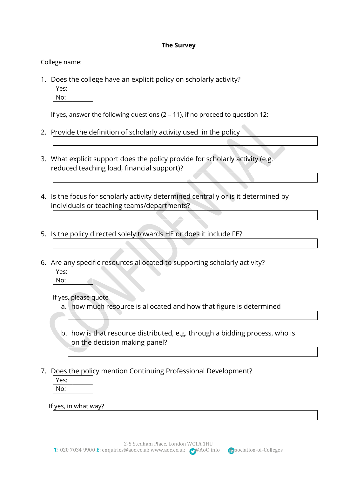#### **The Survey**

College name:

1. Does the college have an explicit policy on scholarly activity?

| es: |  |
|-----|--|
| No: |  |

If yes, answer the following questions (2 – 11), if no proceed to question 12:

- 2. Provide the definition of scholarly activity used in the policy
- 3. What explicit support does the policy provide for scholarly activity (e.g. reduced teaching load, financial support)?
- 4. Is the focus for scholarly activity determined centrally or is it determined by individuals or teaching teams/departments?
- 5. Is the policy directed solely towards HE or does it include FE?
- 6. Are any specific resources allocated to supporting scholarly activity?



If yes, please quote

- a. how much resource is allocated and how that figure is determined
- b. how is that resource distributed, e.g. through a bidding process, who is on the decision making panel?
- 7. Does the policy mention Continuing Professional Development?

| Yes: |  |
|------|--|
| No:  |  |

If yes, in what way?

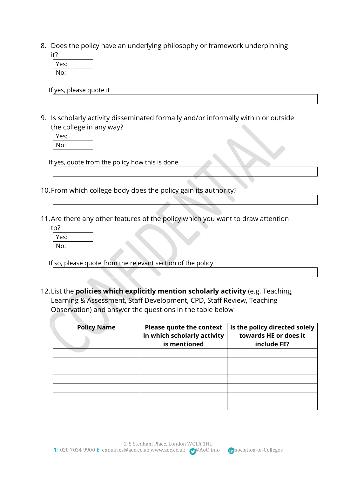8. Does the policy have an underlying philosophy or framework underpinning it?

| . |      |  |  |
|---|------|--|--|
|   | Yes: |  |  |
|   | No:  |  |  |

If yes, please quote it

9. Is scholarly activity disseminated formally and/or informally within or outside the college in any way?

| Y<br>es: |  |
|----------|--|
| No:      |  |

If yes, quote from the policy how this is done.

- 10.From which college body does the policy gain its authority?
- 11.Are there any other features of the policy which you want to draw attention

| to?  |  |
|------|--|
| Yes: |  |
| No:  |  |

If so, please quote from the relevant section of the policy

12.List the **policies which explicitly mention scholarly activity** (e.g. Teaching, Learning & Assessment, Staff Development, CPD, Staff Review, Teaching Observation) and answer the questions in the table below

| <b>Policy Name</b> | <b>Please quote the context</b><br>in which scholarly activity<br>is mentioned | Is the policy directed solely<br>towards HE or does it<br>include FE? |
|--------------------|--------------------------------------------------------------------------------|-----------------------------------------------------------------------|
|                    |                                                                                |                                                                       |
|                    |                                                                                |                                                                       |
|                    |                                                                                |                                                                       |
|                    |                                                                                |                                                                       |
|                    |                                                                                |                                                                       |
|                    |                                                                                |                                                                       |
|                    |                                                                                |                                                                       |

2-5 Stedham Place, London WC1A 1HU T: 020 7034 9900 **E**[: enquiries@aoc.co.uk](mailto:enquiries@aoc.co.uk) [www.aoc.co.uk](http://www.aoc.co.uk/) @@AoC\_info **Association-of-Colleges** 

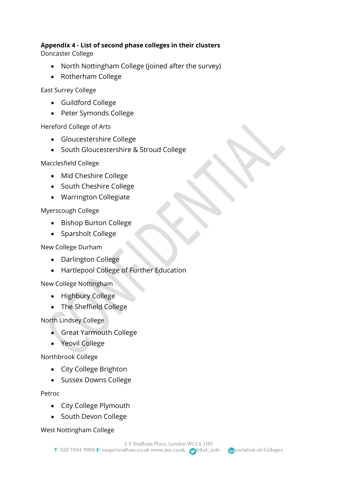#### **Appendix 4 - List of second phase colleges in their clusters**

Doncaster College

- North Nottingham College (joined after the survey)
- Rotherham College

East Surrey College

- Guildford College
- Peter Symonds College

Hereford College of Arts

- Gloucestershire College
- South Gloucestershire & Stroud College

Macclesfield College

- Mid Cheshire College
- South Cheshire College
- Warrington Collegiate

Myerscough College

- Bishop Burton College
- Sparsholt College

New College Durham

- Darlington College
- Hartlepool College of Further Education

New College Nottingham

- Highbury College
- The Sheffield College

North Lindsey College

- Great Yarmouth College
- Yeovil College

Northbrook College

- City College Brighton
- Sussex Downs College

Petroc

- City College Plymouth
- South Devon College

West Nottingham College

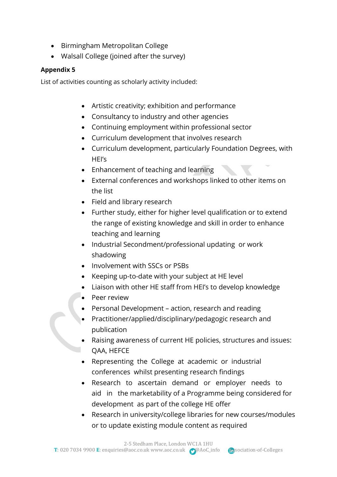- Birmingham Metropolitan College
- Walsall College (joined after the survey)

List of activities counting as scholarly activity included:

- Artistic creativity; exhibition and performance
- Consultancy to industry and other agencies
- Continuing employment within professional sector
- Curriculum development that involves research
- Curriculum development, particularly Foundation Degrees, with HEI's
- Enhancement of teaching and learning
- External conferences and workshops linked to other items on the list
- Field and library research
- Further study, either for higher level qualification or to extend the range of existing knowledge and skill in order to enhance teaching and learning
- Industrial Secondment/professional updating or work shadowing
- Involvement with SSCs or PSBs
- Keeping up-to-date with your subject at HE level
- Liaison with other HE staff from HEI's to develop knowledge
- Peer review
- Personal Development action, research and reading
- Practitioner/applied/disciplinary/pedagogic research and publication
- Raising awareness of current HE policies, structures and issues: QAA, HEFCE
- Representing the College at academic or industrial conferences whilst presenting research findings
- Research to ascertain demand or employer needs to aid in the marketability of a Programme being considered for development as part of the college HE offer
- Research in university/college libraries for new courses/modules or to update existing module content as required

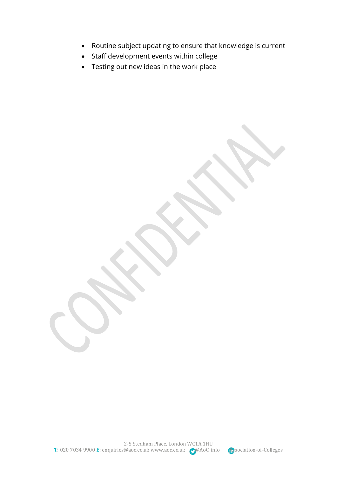- Routine subject updating to ensure that knowledge is current
- Staff development events within college
- Testing out new ideas in the work place

2-5 Stedham Place, London WC1A 1HU T: 020 7034 9900 **E**[: enquiries@aoc.co.uk](mailto:enquiries@aoc.co.uk) [www.aoc.co.uk](http://www.aoc.co.uk/) <br> **T**: 020 7034 9900 **E**: enquiries@aoc.co.uk www.aoc.co.uk <br> **P**@AoC\_info <br> **A**ssociation-of-Colleges

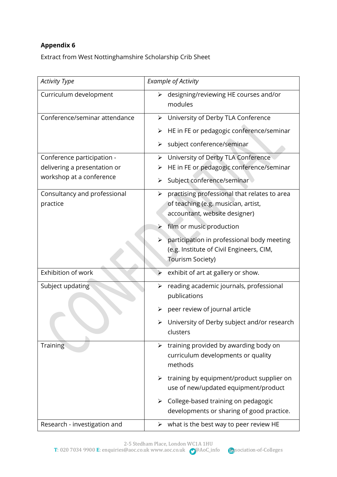Extract from West Nottinghamshire Scholarship Crib Sheet

| <b>Activity Type</b>          | <b>Example of Activity</b>                                     |
|-------------------------------|----------------------------------------------------------------|
| Curriculum development        | designing/reviewing HE courses and/or<br>➤<br>modules          |
| Conference/seminar attendance | University of Derby TLA Conference<br>$\blacktriangleright$    |
|                               | HE in FE or pedagogic conference/seminar<br>➤                  |
|                               | subject conference/seminar<br>➤                                |
| Conference participation -    | University of Derby TLA Conference<br>➤                        |
| delivering a presentation or  | HE in FE or pedagogic conference/seminar                       |
| workshop at a conference      | Subject conference/seminar                                     |
| Consultancy and professional  | practising professional that relates to area<br>➤              |
| practice                      | of teaching (e.g. musician, artist,                            |
|                               | accountant, website designer)                                  |
|                               | film or music production<br>$\blacktriangleright$              |
|                               | participation in professional body meeting<br>➤                |
|                               | (e.g. Institute of Civil Engineers, CIM,                       |
|                               | <b>Tourism Society)</b>                                        |
| Exhibition of work            | exhibit of art at gallery or show.<br>➤                        |
| Subject updating              | reading academic journals, professional<br>➤                   |
|                               | publications                                                   |
|                               | peer review of journal article                                 |
|                               | University of Derby subject and/or research                    |
|                               | clusters                                                       |
| Training                      | training provided by awarding body on<br>$\blacktriangleright$ |
|                               | curriculum developments or quality                             |
|                               | methods                                                        |
|                               | $\triangleright$ training by equipment/product supplier on     |
|                               | use of new/updated equipment/product                           |
|                               | College-based training on pedagogic                            |
|                               | developments or sharing of good practice.                      |
| Research - investigation and  | what is the best way to peer review HE<br>➤                    |